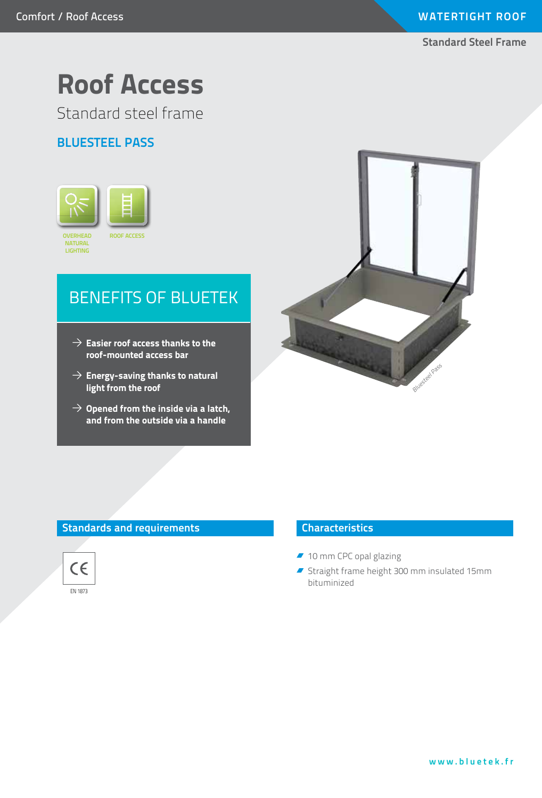**Standard Steel Frame**

# **Roof Access**

Standard steel frame

# **Bluesteel PASS**



# BENEFITS OF bluetek

- $\rightarrow$  Easier roof access thanks to the **roof-mounted access bar**
- **Energy-saving thanks to natural light from the roof**
- $\rightarrow$  Opened from the inside via a latch, **and from the outside via a handle**



### **Standards and requirements**



#### **Characteristics**

- 10 mm CPC opal glazing
- Straight frame height 300 mm insulated 15mm bituminized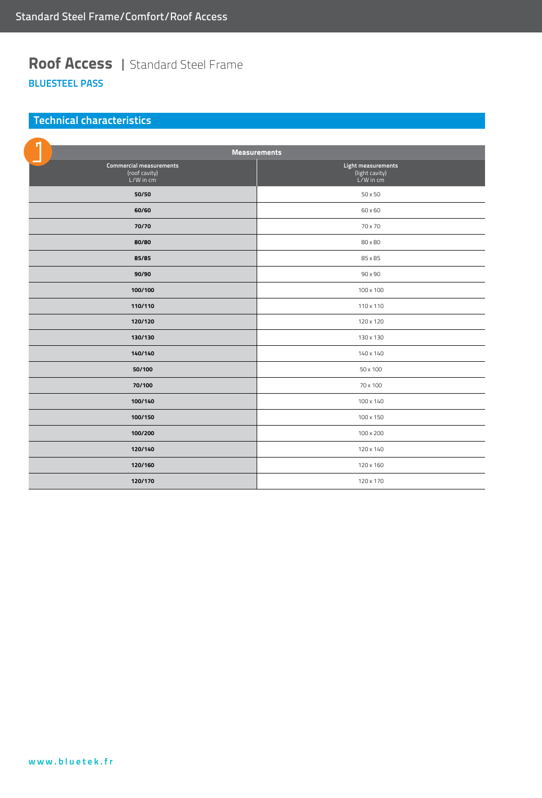# **Roof Access** | Standard Steel Frame **BluesteEL PASS**

## **Technical characteristics**

| <b>Measurements</b>                                          |                                                       |
|--------------------------------------------------------------|-------------------------------------------------------|
| <b>Commercial measurements</b><br>(roof cavity)<br>L/W in cm | Light measurements<br>(light cavity)<br>$L/W$ in $cm$ |
| 50/50                                                        | 50 x 50                                               |
| 60/60                                                        | 60 x 60                                               |
| 70/70                                                        | 70 x 70                                               |
| 80/80                                                        | 80 x 80                                               |
| 85/85                                                        | 85 x 85                                               |
| 90/90                                                        | 90 x 90                                               |
| 100/100                                                      | 100 x 100                                             |
| 110/110                                                      | 110 x 110                                             |
| 120/120                                                      | 120 x 120                                             |
| 130/130                                                      | 130 x 130                                             |
| 140/140                                                      | 140 x 140                                             |
| 50/100                                                       | 50 x 100                                              |
| 70/100                                                       | 70 x 100                                              |
| 100/140                                                      | 100 x 140                                             |
| 100/150                                                      | 100 x 150                                             |
| 100/200                                                      | 100 x 200                                             |
| 120/140                                                      | 120 x 140                                             |
| 120/160                                                      | 120 x 160                                             |
| 120/170                                                      | 120 x 170                                             |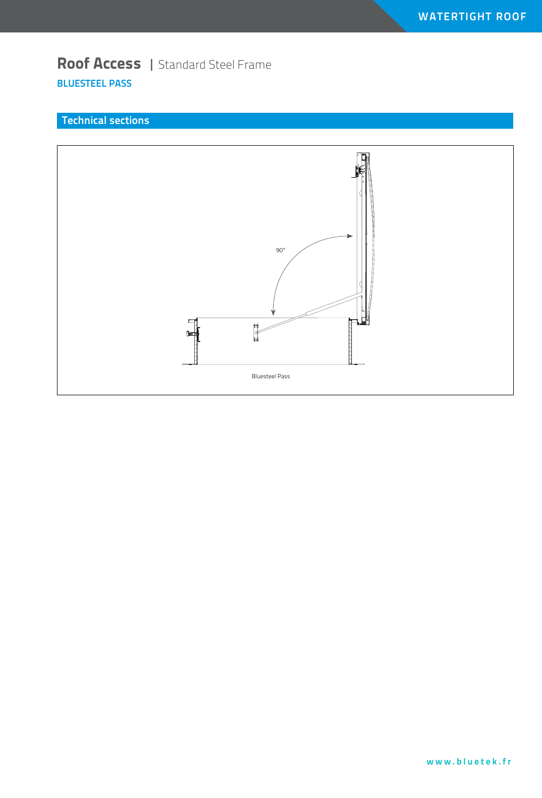# **Roof Access** | Standard Steel Frame **BluesteEL PASS**

## **Technical sections**